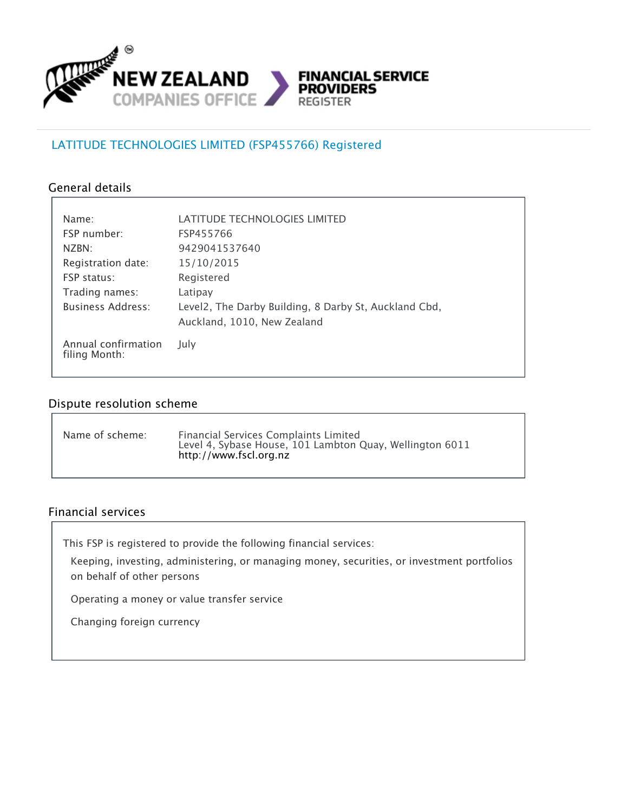

## LATITUDE TECHNOLOGIES LIMITED (FSP455766) Registered

#### General details

| Name:                                | LATITUDE TECHNOLOGIES LIMITED                         |  |
|--------------------------------------|-------------------------------------------------------|--|
| <b>FSP</b> number:                   | FSP455766                                             |  |
| NZBN:                                | 9429041537640                                         |  |
| Registration date:                   | 15/10/2015                                            |  |
| <b>FSP status:</b>                   | Registered                                            |  |
| Trading names:                       | Latipay                                               |  |
| <b>Business Address:</b>             | Level2, The Darby Building, 8 Darby St, Auckland Cbd, |  |
|                                      | Auckland, 1010, New Zealand                           |  |
| Annual confirmation<br>filing Month: | July                                                  |  |

### Dispute resolution scheme

| Name of scheme: | Financial Services Complaints Limited<br>Level 4, Sybase House, 101 Lambton Quay, Wellington 6011<br>http://www.fscl.org.nz |
|-----------------|-----------------------------------------------------------------------------------------------------------------------------|
|-----------------|-----------------------------------------------------------------------------------------------------------------------------|

#### Financial services

This FSP is registered to provide the following financial services:

Keeping, investing, administering, or managing money, securities, or investment portfolios on behalf of other persons

Operating a money or value transfer service

Changing foreign currency